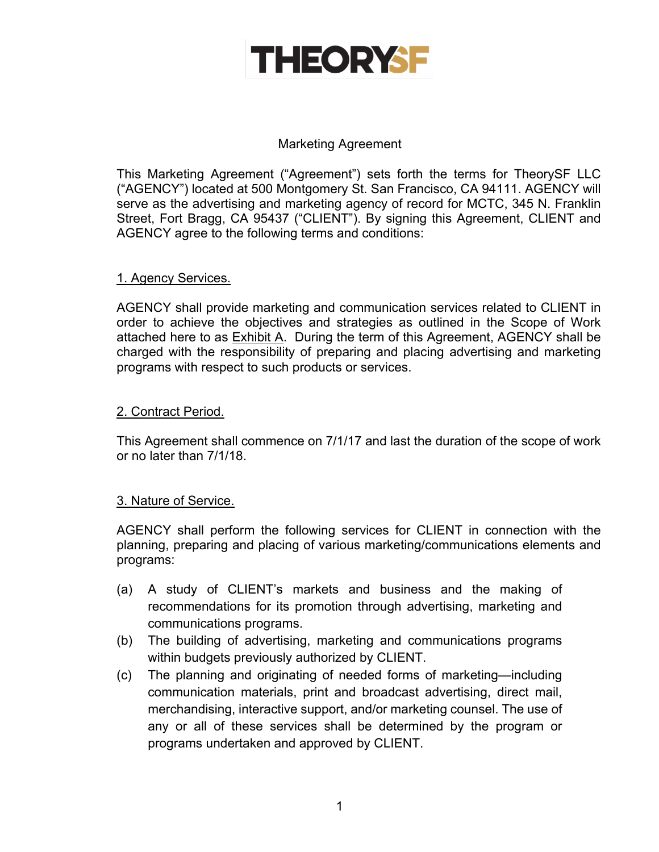

### Marketing Agreement

This Marketing Agreement ("Agreement") sets forth the terms for TheorySF LLC ("AGENCY") located at 500 Montgomery St. San Francisco, CA 94111. AGENCY will serve as the advertising and marketing agency of record for MCTC, 345 N. Franklin Street, Fort Bragg, CA 95437 ("CLIENT"). By signing this Agreement, CLIENT and AGENCY agree to the following terms and conditions:

#### 1. Agency Services.

AGENCY shall provide marketing and communication services related to CLIENT in order to achieve the objectives and strategies as outlined in the Scope of Work attached here to as Exhibit A. During the term of this Agreement, AGENCY shall be charged with the responsibility of preparing and placing advertising and marketing programs with respect to such products or services.

## 2. Contract Period.

This Agreement shall commence on 7/1/17 and last the duration of the scope of work or no later than 7/1/18.

#### 3. Nature of Service.

AGENCY shall perform the following services for CLIENT in connection with the planning, preparing and placing of various marketing/communications elements and programs:

- (a) A study of CLIENT's markets and business and the making of recommendations for its promotion through advertising, marketing and communications programs.
- (b) The building of advertising, marketing and communications programs within budgets previously authorized by CLIENT.
- (c) The planning and originating of needed forms of marketing—including communication materials, print and broadcast advertising, direct mail, merchandising, interactive support, and/or marketing counsel. The use of any or all of these services shall be determined by the program or programs undertaken and approved by CLIENT.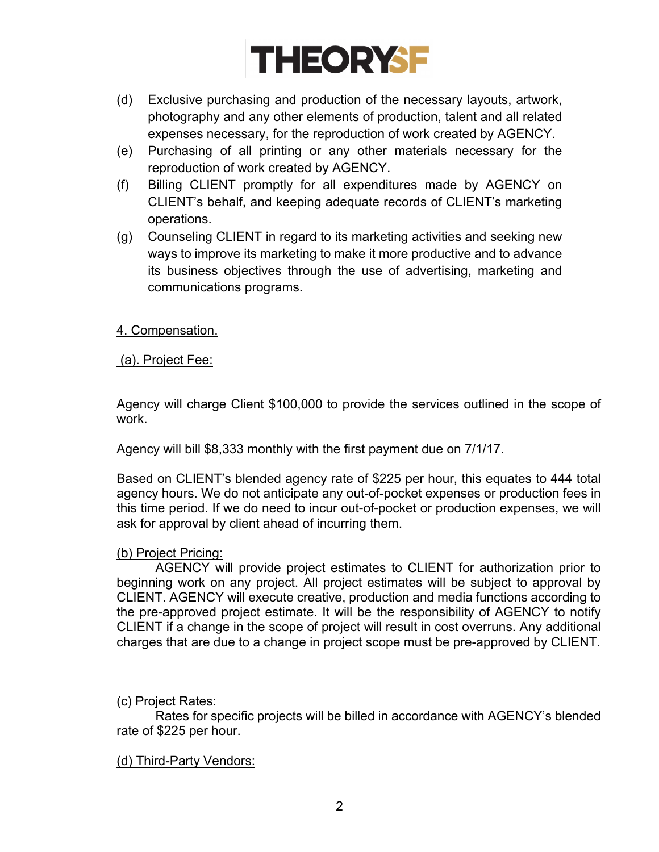

- (d) Exclusive purchasing and production of the necessary layouts, artwork, photography and any other elements of production, talent and all related expenses necessary, for the reproduction of work created by AGENCY.
- (e) Purchasing of all printing or any other materials necessary for the reproduction of work created by AGENCY.
- (f) Billing CLIENT promptly for all expenditures made by AGENCY on CLIENT's behalf, and keeping adequate records of CLIENT's marketing operations.
- (g) Counseling CLIENT in regard to its marketing activities and seeking new ways to improve its marketing to make it more productive and to advance its business objectives through the use of advertising, marketing and communications programs.

## 4. Compensation.

(a). Project Fee:

Agency will charge Client \$100,000 to provide the services outlined in the scope of work.

Agency will bill \$8,333 monthly with the first payment due on 7/1/17.

Based on CLIENT's blended agency rate of \$225 per hour, this equates to 444 total agency hours. We do not anticipate any out-of-pocket expenses or production fees in this time period. If we do need to incur out-of-pocket or production expenses, we will ask for approval by client ahead of incurring them.

#### (b) Project Pricing:

AGENCY will provide project estimates to CLIENT for authorization prior to beginning work on any project. All project estimates will be subject to approval by CLIENT. AGENCY will execute creative, production and media functions according to the pre-approved project estimate. It will be the responsibility of AGENCY to notify CLIENT if a change in the scope of project will result in cost overruns. Any additional charges that are due to a change in project scope must be pre-approved by CLIENT.

#### (c) Project Rates:

Rates for specific projects will be billed in accordance with AGENCY's blended rate of \$225 per hour.

#### (d) Third-Party Vendors: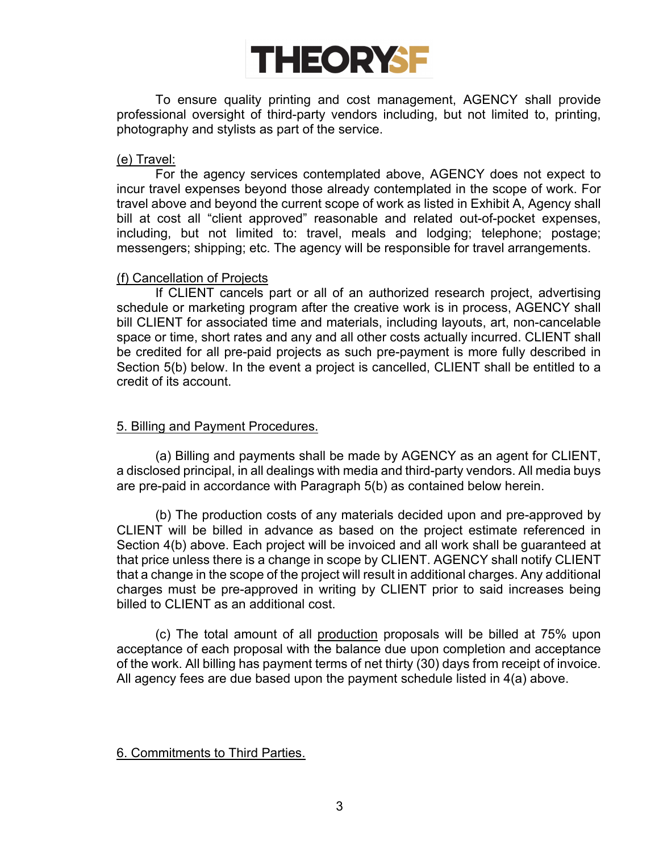

To ensure quality printing and cost management, AGENCY shall provide professional oversight of third-party vendors including, but not limited to, printing, photography and stylists as part of the service.

#### (e) Travel:

For the agency services contemplated above, AGENCY does not expect to incur travel expenses beyond those already contemplated in the scope of work. For travel above and beyond the current scope of work as listed in Exhibit A, Agency shall bill at cost all "client approved" reasonable and related out-of-pocket expenses, including, but not limited to: travel, meals and lodging; telephone; postage; messengers; shipping; etc. The agency will be responsible for travel arrangements.

#### (f) Cancellation of Projects

If CLIENT cancels part or all of an authorized research project, advertising schedule or marketing program after the creative work is in process, AGENCY shall bill CLIENT for associated time and materials, including layouts, art, non-cancelable space or time, short rates and any and all other costs actually incurred. CLIENT shall be credited for all pre-paid projects as such pre-payment is more fully described in Section 5(b) below. In the event a project is cancelled, CLIENT shall be entitled to a credit of its account.

#### 5. Billing and Payment Procedures.

(a) Billing and payments shall be made by AGENCY as an agent for CLIENT, a disclosed principal, in all dealings with media and third-party vendors. All media buys are pre-paid in accordance with Paragraph 5(b) as contained below herein.

(b) The production costs of any materials decided upon and pre-approved by CLIENT will be billed in advance as based on the project estimate referenced in Section 4(b) above. Each project will be invoiced and all work shall be guaranteed at that price unless there is a change in scope by CLIENT. AGENCY shall notify CLIENT that a change in the scope of the project will result in additional charges. Any additional charges must be pre-approved in writing by CLIENT prior to said increases being billed to CLIENT as an additional cost.

(c) The total amount of all production proposals will be billed at 75% upon acceptance of each proposal with the balance due upon completion and acceptance of the work. All billing has payment terms of net thirty (30) days from receipt of invoice. All agency fees are due based upon the payment schedule listed in 4(a) above.

#### 6. Commitments to Third Parties.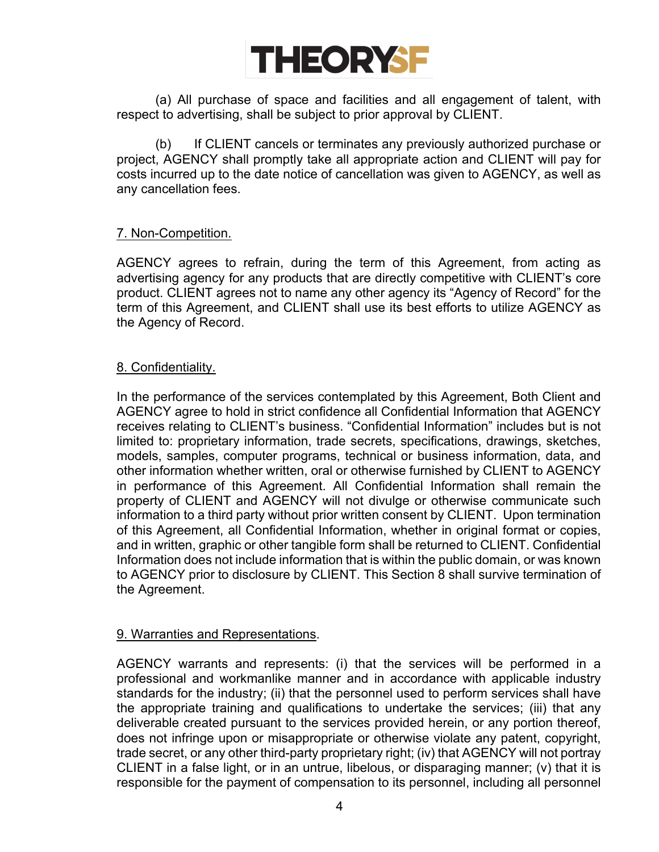

(a) All purchase of space and facilities and all engagement of talent, with respect to advertising, shall be subject to prior approval by CLIENT.

(b) If CLIENT cancels or terminates any previously authorized purchase or project, AGENCY shall promptly take all appropriate action and CLIENT will pay for costs incurred up to the date notice of cancellation was given to AGENCY, as well as any cancellation fees.

#### 7. Non-Competition.

AGENCY agrees to refrain, during the term of this Agreement, from acting as advertising agency for any products that are directly competitive with CLIENT's core product. CLIENT agrees not to name any other agency its "Agency of Record" for the term of this Agreement, and CLIENT shall use its best efforts to utilize AGENCY as the Agency of Record.

#### 8. Confidentiality.

In the performance of the services contemplated by this Agreement, Both Client and AGENCY agree to hold in strict confidence all Confidential Information that AGENCY receives relating to CLIENT's business. "Confidential Information" includes but is not limited to: proprietary information, trade secrets, specifications, drawings, sketches, models, samples, computer programs, technical or business information, data, and other information whether written, oral or otherwise furnished by CLIENT to AGENCY in performance of this Agreement. All Confidential Information shall remain the property of CLIENT and AGENCY will not divulge or otherwise communicate such information to a third party without prior written consent by CLIENT. Upon termination of this Agreement, all Confidential Information, whether in original format or copies, and in written, graphic or other tangible form shall be returned to CLIENT. Confidential Information does not include information that is within the public domain, or was known to AGENCY prior to disclosure by CLIENT. This Section 8 shall survive termination of the Agreement.

#### 9. Warranties and Representations.

AGENCY warrants and represents: (i) that the services will be performed in a professional and workmanlike manner and in accordance with applicable industry standards for the industry; (ii) that the personnel used to perform services shall have the appropriate training and qualifications to undertake the services; (iii) that any deliverable created pursuant to the services provided herein, or any portion thereof, does not infringe upon or misappropriate or otherwise violate any patent, copyright, trade secret, or any other third-party proprietary right; (iv) that AGENCY will not portray CLIENT in a false light, or in an untrue, libelous, or disparaging manner; (v) that it is responsible for the payment of compensation to its personnel, including all personnel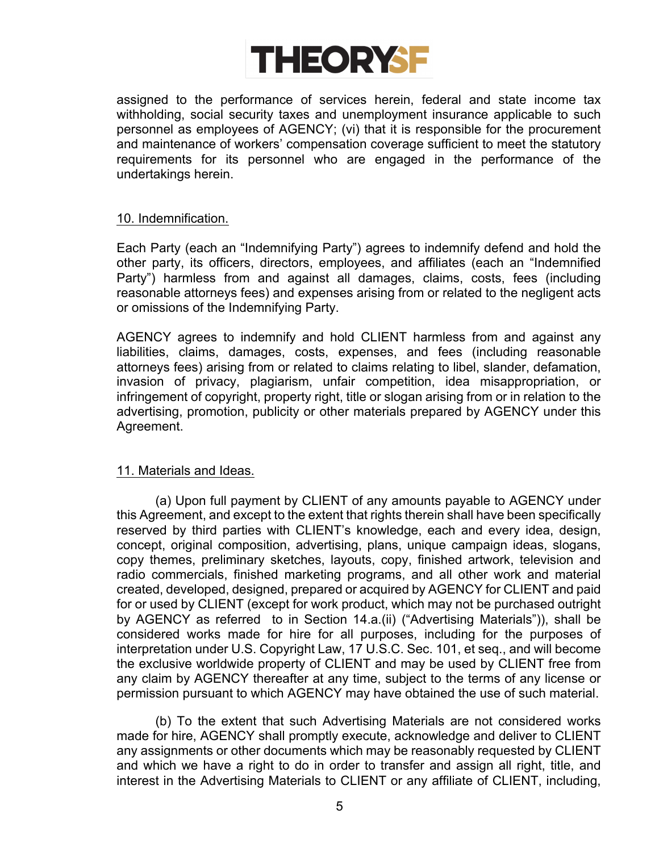

assigned to the performance of services herein, federal and state income tax withholding, social security taxes and unemployment insurance applicable to such personnel as employees of AGENCY; (vi) that it is responsible for the procurement and maintenance of workers' compensation coverage sufficient to meet the statutory requirements for its personnel who are engaged in the performance of the undertakings herein.

#### 10. Indemnification.

Each Party (each an "Indemnifying Party") agrees to indemnify defend and hold the other party, its officers, directors, employees, and affiliates (each an "Indemnified Party") harmless from and against all damages, claims, costs, fees (including reasonable attorneys fees) and expenses arising from or related to the negligent acts or omissions of the Indemnifying Party.

AGENCY agrees to indemnify and hold CLIENT harmless from and against any liabilities, claims, damages, costs, expenses, and fees (including reasonable attorneys fees) arising from or related to claims relating to libel, slander, defamation, invasion of privacy, plagiarism, unfair competition, idea misappropriation, or infringement of copyright, property right, title or slogan arising from or in relation to the advertising, promotion, publicity or other materials prepared by AGENCY under this Agreement.

#### 11. Materials and Ideas.

(a) Upon full payment by CLIENT of any amounts payable to AGENCY under this Agreement, and except to the extent that rights therein shall have been specifically reserved by third parties with CLIENT's knowledge, each and every idea, design, concept, original composition, advertising, plans, unique campaign ideas, slogans, copy themes, preliminary sketches, layouts, copy, finished artwork, television and radio commercials, finished marketing programs, and all other work and material created, developed, designed, prepared or acquired by AGENCY for CLIENT and paid for or used by CLIENT (except for work product, which may not be purchased outright by AGENCY as referred to in Section 14.a.(ii) ("Advertising Materials")), shall be considered works made for hire for all purposes, including for the purposes of interpretation under U.S. Copyright Law, 17 U.S.C. Sec. 101, et seq., and will become the exclusive worldwide property of CLIENT and may be used by CLIENT free from any claim by AGENCY thereafter at any time, subject to the terms of any license or permission pursuant to which AGENCY may have obtained the use of such material.

(b) To the extent that such Advertising Materials are not considered works made for hire, AGENCY shall promptly execute, acknowledge and deliver to CLIENT any assignments or other documents which may be reasonably requested by CLIENT and which we have a right to do in order to transfer and assign all right, title, and interest in the Advertising Materials to CLIENT or any affiliate of CLIENT, including,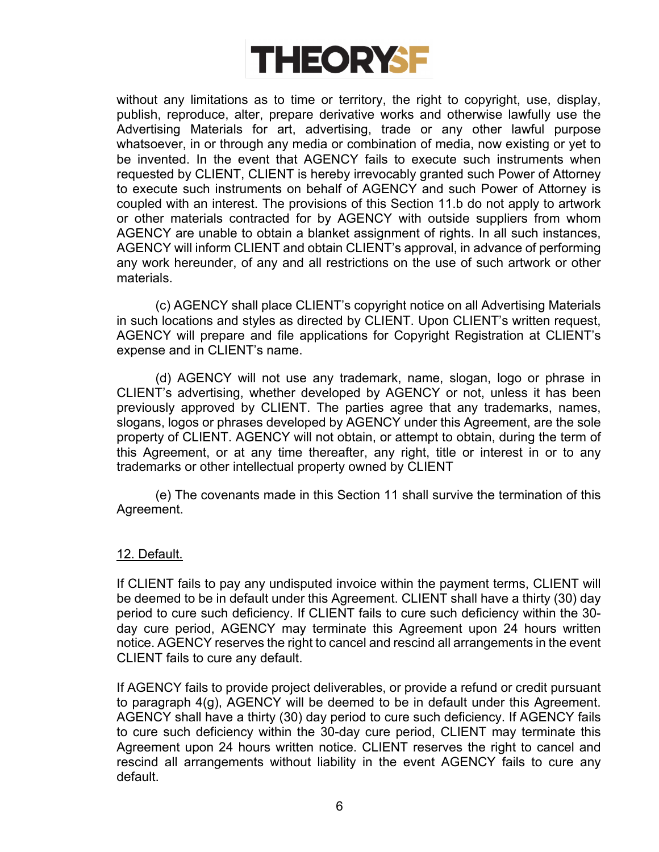

without any limitations as to time or territory, the right to copyright, use, display, publish, reproduce, alter, prepare derivative works and otherwise lawfully use the Advertising Materials for art, advertising, trade or any other lawful purpose whatsoever, in or through any media or combination of media, now existing or yet to be invented. In the event that AGENCY fails to execute such instruments when requested by CLIENT, CLIENT is hereby irrevocably granted such Power of Attorney to execute such instruments on behalf of AGENCY and such Power of Attorney is coupled with an interest. The provisions of this Section 11.b do not apply to artwork or other materials contracted for by AGENCY with outside suppliers from whom AGENCY are unable to obtain a blanket assignment of rights. In all such instances, AGENCY will inform CLIENT and obtain CLIENT's approval, in advance of performing any work hereunder, of any and all restrictions on the use of such artwork or other materials.

(c) AGENCY shall place CLIENT's copyright notice on all Advertising Materials in such locations and styles as directed by CLIENT. Upon CLIENT's written request, AGENCY will prepare and file applications for Copyright Registration at CLIENT's expense and in CLIENT's name.

(d) AGENCY will not use any trademark, name, slogan, logo or phrase in CLIENT's advertising, whether developed by AGENCY or not, unless it has been previously approved by CLIENT. The parties agree that any trademarks, names, slogans, logos or phrases developed by AGENCY under this Agreement, are the sole property of CLIENT. AGENCY will not obtain, or attempt to obtain, during the term of this Agreement, or at any time thereafter, any right, title or interest in or to any trademarks or other intellectual property owned by CLIENT

(e) The covenants made in this Section 11 shall survive the termination of this Agreement.

#### 12. Default.

If CLIENT fails to pay any undisputed invoice within the payment terms, CLIENT will be deemed to be in default under this Agreement. CLIENT shall have a thirty (30) day period to cure such deficiency. If CLIENT fails to cure such deficiency within the 30 day cure period, AGENCY may terminate this Agreement upon 24 hours written notice. AGENCY reserves the right to cancel and rescind all arrangements in the event CLIENT fails to cure any default.

If AGENCY fails to provide project deliverables, or provide a refund or credit pursuant to paragraph 4(g), AGENCY will be deemed to be in default under this Agreement. AGENCY shall have a thirty (30) day period to cure such deficiency. If AGENCY fails to cure such deficiency within the 30-day cure period, CLIENT may terminate this Agreement upon 24 hours written notice. CLIENT reserves the right to cancel and rescind all arrangements without liability in the event AGENCY fails to cure any default.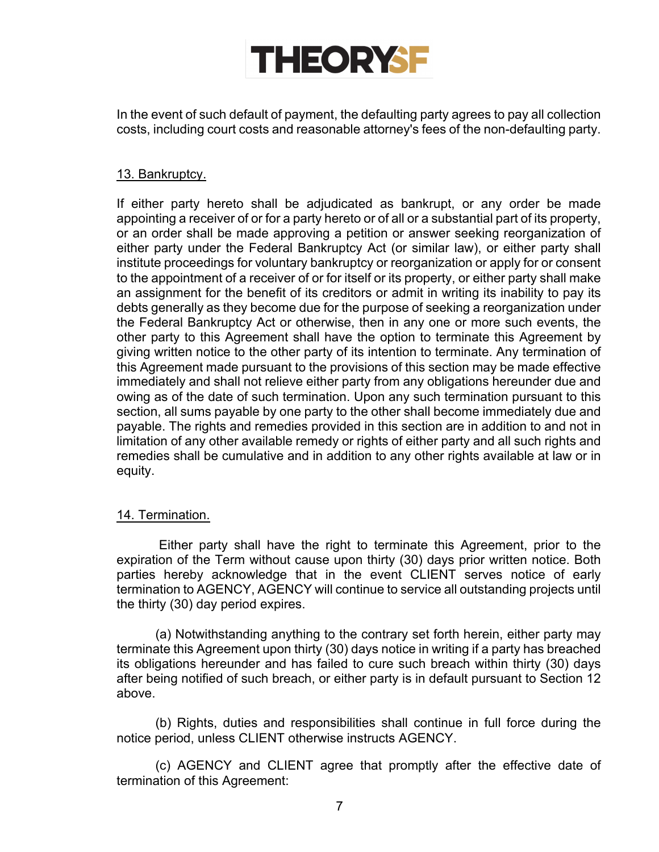# **THEORYSF**

In the event of such default of payment, the defaulting party agrees to pay all collection costs, including court costs and reasonable attorney's fees of the non-defaulting party.

## 13. Bankruptcy.

If either party hereto shall be adjudicated as bankrupt, or any order be made appointing a receiver of or for a party hereto or of all or a substantial part of its property, or an order shall be made approving a petition or answer seeking reorganization of either party under the Federal Bankruptcy Act (or similar law), or either party shall institute proceedings for voluntary bankruptcy or reorganization or apply for or consent to the appointment of a receiver of or for itself or its property, or either party shall make an assignment for the benefit of its creditors or admit in writing its inability to pay its debts generally as they become due for the purpose of seeking a reorganization under the Federal Bankruptcy Act or otherwise, then in any one or more such events, the other party to this Agreement shall have the option to terminate this Agreement by giving written notice to the other party of its intention to terminate. Any termination of this Agreement made pursuant to the provisions of this section may be made effective immediately and shall not relieve either party from any obligations hereunder due and owing as of the date of such termination. Upon any such termination pursuant to this section, all sums payable by one party to the other shall become immediately due and payable. The rights and remedies provided in this section are in addition to and not in limitation of any other available remedy or rights of either party and all such rights and remedies shall be cumulative and in addition to any other rights available at law or in equity.

## 14. Termination.

Either party shall have the right to terminate this Agreement, prior to the expiration of the Term without cause upon thirty (30) days prior written notice. Both parties hereby acknowledge that in the event CLIENT serves notice of early termination to AGENCY, AGENCY will continue to service all outstanding projects until the thirty (30) day period expires.

(a) Notwithstanding anything to the contrary set forth herein, either party may terminate this Agreement upon thirty (30) days notice in writing if a party has breached its obligations hereunder and has failed to cure such breach within thirty (30) days after being notified of such breach, or either party is in default pursuant to Section 12 above.

(b) Rights, duties and responsibilities shall continue in full force during the notice period, unless CLIENT otherwise instructs AGENCY.

(c) AGENCY and CLIENT agree that promptly after the effective date of termination of this Agreement: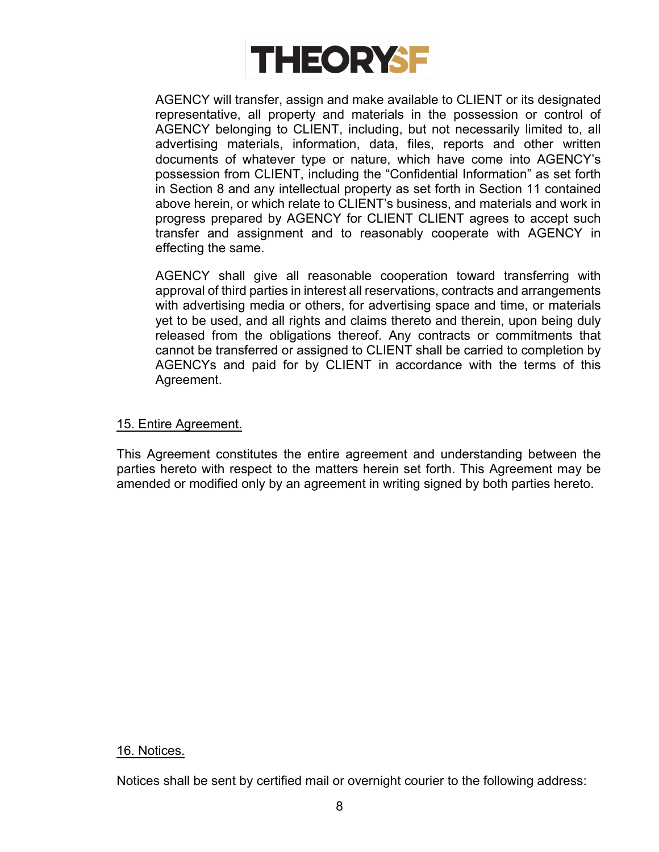

AGENCY will transfer, assign and make available to CLIENT or its designated representative, all property and materials in the possession or control of AGENCY belonging to CLIENT, including, but not necessarily limited to, all advertising materials, information, data, files, reports and other written documents of whatever type or nature, which have come into AGENCY's possession from CLIENT, including the "Confidential Information" as set forth in Section 8 and any intellectual property as set forth in Section 11 contained above herein, or which relate to CLIENT's business, and materials and work in progress prepared by AGENCY for CLIENT CLIENT agrees to accept such transfer and assignment and to reasonably cooperate with AGENCY in effecting the same.

AGENCY shall give all reasonable cooperation toward transferring with approval of third parties in interest all reservations, contracts and arrangements with advertising media or others, for advertising space and time, or materials yet to be used, and all rights and claims thereto and therein, upon being duly released from the obligations thereof. Any contracts or commitments that cannot be transferred or assigned to CLIENT shall be carried to completion by AGENCYs and paid for by CLIENT in accordance with the terms of this Agreement.

#### 15. Entire Agreement.

This Agreement constitutes the entire agreement and understanding between the parties hereto with respect to the matters herein set forth. This Agreement may be amended or modified only by an agreement in writing signed by both parties hereto.

#### 16. Notices.

Notices shall be sent by certified mail or overnight courier to the following address: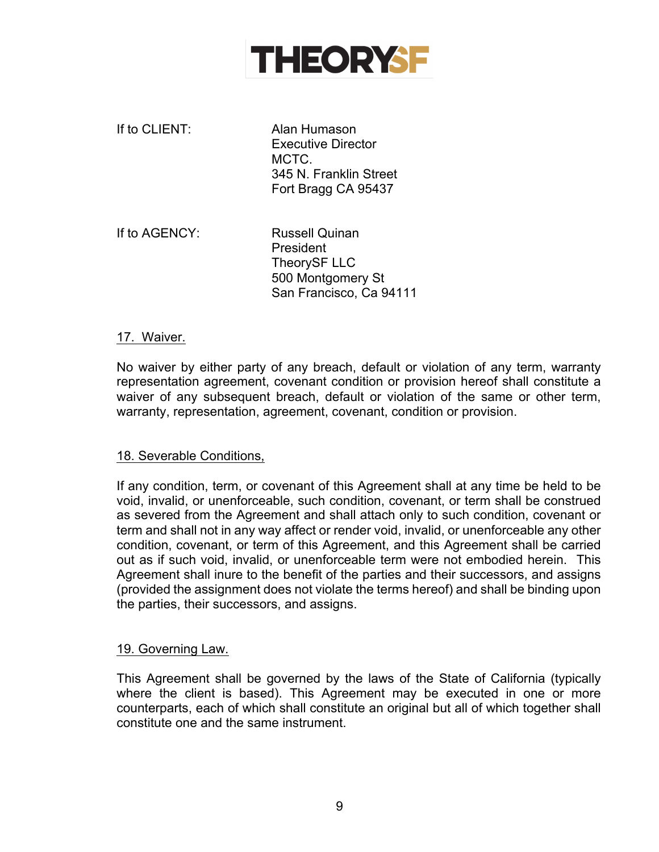

If to CLIENT: Alan Humason Executive Director MCTC. 345 N. Franklin Street Fort Bragg CA 95437

If to AGENCY: Russell Quinan President TheorySF LLC 500 Montgomery St San Francisco, Ca 94111

#### 17. Waiver.

No waiver by either party of any breach, default or violation of any term, warranty representation agreement, covenant condition or provision hereof shall constitute a waiver of any subsequent breach, default or violation of the same or other term, warranty, representation, agreement, covenant, condition or provision.

#### 18. Severable Conditions,

If any condition, term, or covenant of this Agreement shall at any time be held to be void, invalid, or unenforceable, such condition, covenant, or term shall be construed as severed from the Agreement and shall attach only to such condition, covenant or term and shall not in any way affect or render void, invalid, or unenforceable any other condition, covenant, or term of this Agreement, and this Agreement shall be carried out as if such void, invalid, or unenforceable term were not embodied herein. This Agreement shall inure to the benefit of the parties and their successors, and assigns (provided the assignment does not violate the terms hereof) and shall be binding upon the parties, their successors, and assigns.

#### 19. Governing Law.

This Agreement shall be governed by the laws of the State of California (typically where the client is based). This Agreement may be executed in one or more counterparts, each of which shall constitute an original but all of which together shall constitute one and the same instrument.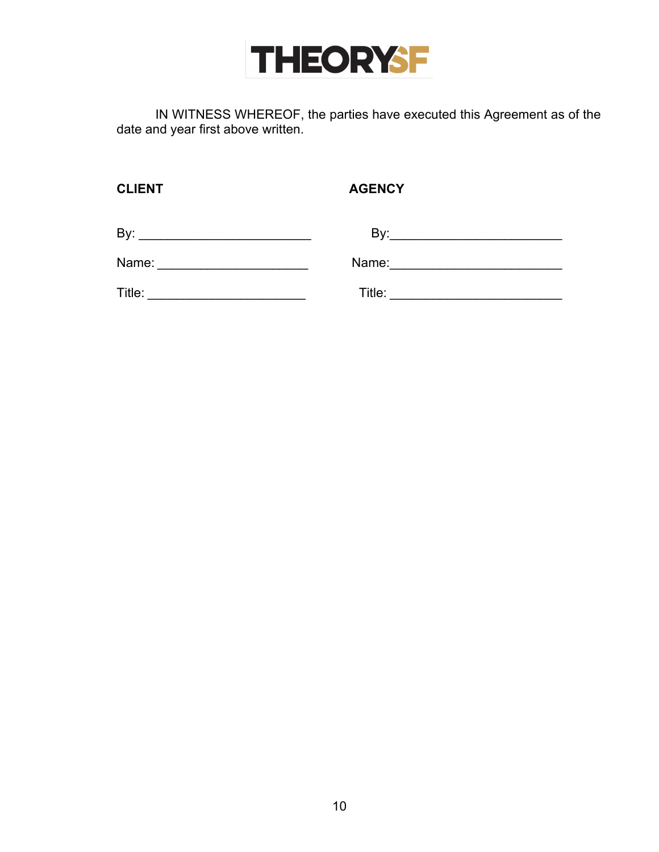

IN WITNESS WHEREOF, the parties have executed this Agreement as of the date and year first above written.

| V<br>◡<br>п<br>∟ |  |
|------------------|--|
|------------------|--|

**CLIENT AGENCY**

| By:   | n۰,<br>D, |
|-------|-----------|
| Name: | Name:     |

Title: \_\_\_\_\_\_\_\_\_\_\_\_\_\_\_\_\_\_\_\_\_\_ Title: \_\_\_\_\_\_\_\_\_\_\_\_\_\_\_\_\_\_\_\_\_\_\_\_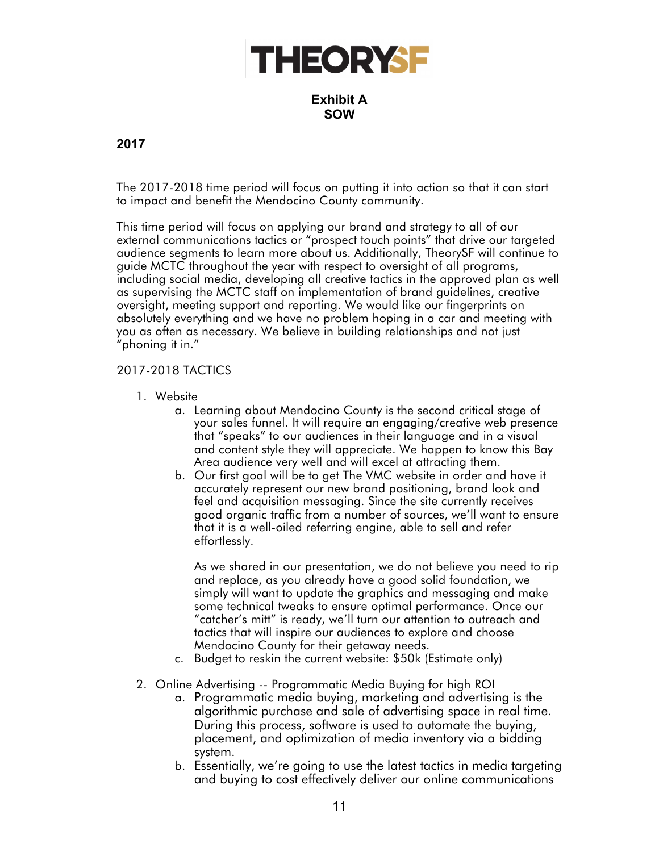

**Exhibit A SOW**

## **2017**

The 2017-2018 time period will focus on putting it into action so that it can start to impact and benefit the Mendocino County community.

This time period will focus on applying our brand and strategy to all of our external communications tactics or "prospect touch points" that drive our targeted audience segments to learn more about us. Additionally, TheorySF will continue to guide MCTC throughout the year with respect to oversight of all programs, including social media, developing all creative tactics in the approved plan as well as supervising the MCTC staff on implementation of brand guidelines, creative oversight, meeting support and reporting. We would like our fingerprints on absolutely everything and we have no problem hoping in a car and meeting with you as often as necessary. We believe in building relationships and not just "phoning it in."

#### 2017-2018 TACTICS

- 1. Website
	- a. Learning about Mendocino County is the second critical stage of your sales funnel. It will require an engaging/creative web presence that "speaks" to our audiences in their language and in a visual and content style they will appreciate. We happen to know this Bay Area audience very well and will excel at attracting them.
	- b. Our first goal will be to get The VMC website in order and have it accurately represent our new brand positioning, brand look and feel and acquisition messaging. Since the site currently receives good organic traffic from a number of sources, we'll want to ensure that it is a well-oiled referring engine, able to sell and refer effortlessly.

As we shared in our presentation, we do not believe you need to rip and replace, as you already have a good solid foundation, we simply will want to update the graphics and messaging and make some technical tweaks to ensure optimal performance. Once our "catcher's mitt" is ready, we'll turn our attention to outreach and tactics that will inspire our audiences to explore and choose Mendocino County for their getaway needs.

- c. Budget to reskin the current website: \$50k (Estimate only)
- 2. Online Advertising -- Programmatic Media Buying for high ROI
	- a. Programmatic media buying, marketing and advertising is the algorithmic purchase and sale of advertising space in real time. During this process, software is used to automate the buying, placement, and optimization of media inventory via a bidding system.
	- b. Essentially, we're going to use the latest tactics in media targeting and buying to cost effectively deliver our online communications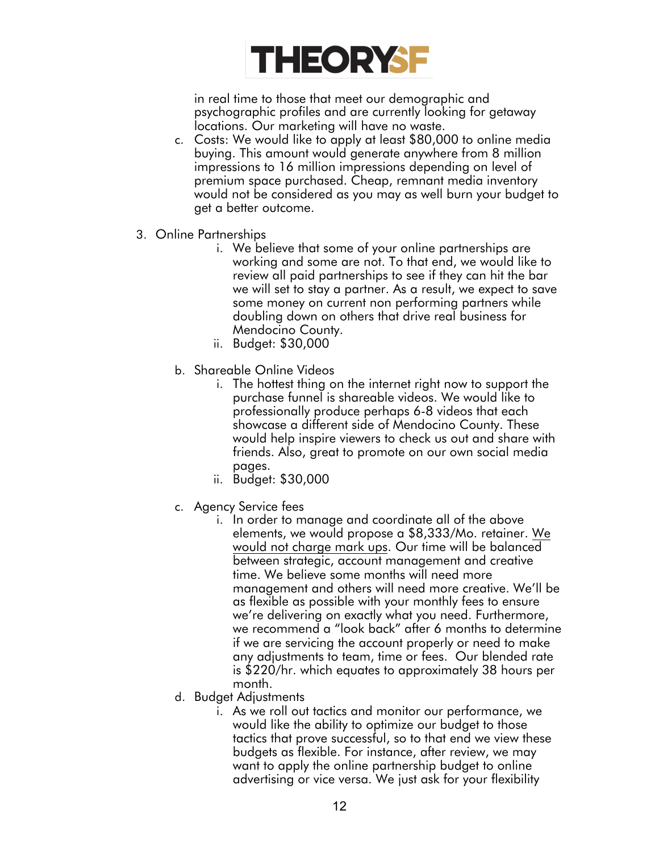

in real time to those that meet our demographic and psychographic profiles and are currently looking for getaway locations. Our marketing will have no waste.

- c. Costs: We would like to apply at least \$80,000 to online media buying. This amount would generate anywhere from 8 million impressions to 16 million impressions depending on level of premium space purchased. Cheap, remnant media inventory would not be considered as you may as well burn your budget to get a better outcome.
- 3. Online Partnerships
	- i. We believe that some of your online partnerships are working and some are not. To that end, we would like to review all paid partnerships to see if they can hit the bar we will set to stay a partner. As a result, we expect to save some money on current non performing partners while doubling down on others that drive real business for Mendocino County.
	- ii. Budget: \$30,000
	- b. Shareable Online Videos
		- i. The hottest thing on the internet right now to support the purchase funnel is shareable videos. We would like to professionally produce perhaps 6-8 videos that each showcase a different side of Mendocino County. These would help inspire viewers to check us out and share with friends. Also, great to promote on our own social media pages.
		- ii. Budget: \$30,000
	- c. Agency Service fees
		- i. In order to manage and coordinate all of the above elements, we would propose a \$8,333/Mo. retainer. We would not charge mark ups. Our time will be balanced between strategic, account management and creative time. We believe some months will need more management and others will need more creative. We'll be as flexible as possible with your monthly fees to ensure we're delivering on exactly what you need. Furthermore, we recommend a "look back" after 6 months to determine if we are servicing the account properly or need to make any adjustments to team, time or fees. Our blended rate is \$220/hr. which equates to approximately 38 hours per month.
	- d. Budget Adjustments
		- i. As we roll out tactics and monitor our performance, we would like the ability to optimize our budget to those tactics that prove successful, so to that end we view these budgets as flexible. For instance, after review, we may want to apply the online partnership budget to online advertising or vice versa. We just ask for your flexibility